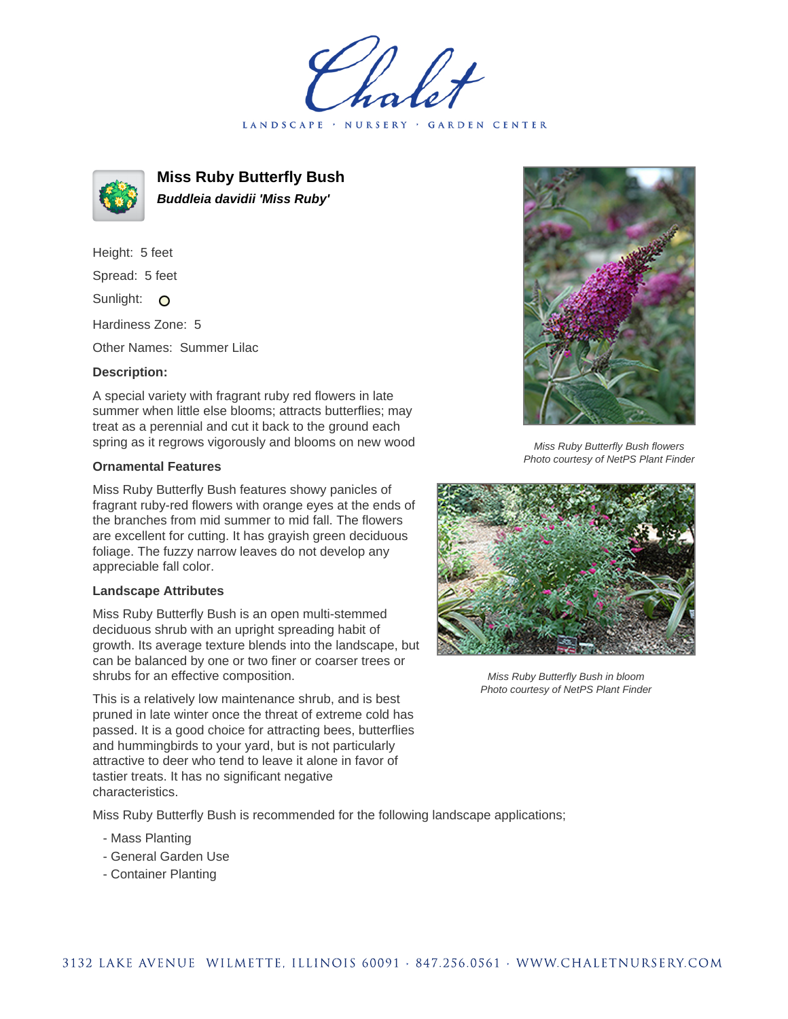LANDSCAPE · NURSERY · GARDEN CENTER



**Miss Ruby Butterfly Bush Buddleia davidii 'Miss Ruby'**

Height: 5 feet Spread: 5 feet Sunlight: O Hardiness Zone: 5

Other Names: Summer Lilac

## **Description:**

A special variety with fragrant ruby red flowers in late summer when little else blooms; attracts butterflies; may treat as a perennial and cut it back to the ground each spring as it regrows vigorously and blooms on new wood

## **Ornamental Features**

Miss Ruby Butterfly Bush features showy panicles of fragrant ruby-red flowers with orange eyes at the ends of the branches from mid summer to mid fall. The flowers are excellent for cutting. It has grayish green deciduous foliage. The fuzzy narrow leaves do not develop any appreciable fall color.

## **Landscape Attributes**

Miss Ruby Butterfly Bush is an open multi-stemmed deciduous shrub with an upright spreading habit of growth. Its average texture blends into the landscape, but can be balanced by one or two finer or coarser trees or shrubs for an effective composition.

This is a relatively low maintenance shrub, and is best pruned in late winter once the threat of extreme cold has passed. It is a good choice for attracting bees, butterflies and hummingbirds to your yard, but is not particularly attractive to deer who tend to leave it alone in favor of tastier treats. It has no significant negative characteristics.

Miss Ruby Butterfly Bush is recommended for the following landscape applications;

- Mass Planting
- General Garden Use
- Container Planting



Miss Ruby Butterfly Bush flowers Photo courtesy of NetPS Plant Finder



Miss Ruby Butterfly Bush in bloom Photo courtesy of NetPS Plant Finder